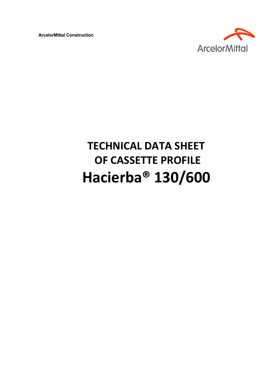**ArcelorMittal Construction** 



# **TECHNICAL DATA SHEET OF CASSETTE PROFILE Hacierba® 130/600**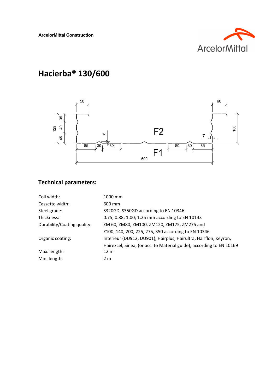

# **Hacierba® 130/600**



## **Technical parameters:**

| Coil width:                 | 1000 mm                                                              |
|-----------------------------|----------------------------------------------------------------------|
| Cassette width:             | 600 mm                                                               |
| Steel grade:                | S320GD, S350GD according to EN 10346                                 |
| Thickness:                  | 0.75; 0.88; 1.00; 1.25 mm according to EN 10143                      |
| Durability/Coating quality: | ZM 60, ZM80, ZM100, ZM120, ZM175, ZM275 and                          |
|                             | Z100, 140, 200, 225, 275, 350 according to EN 10346                  |
| Organic coating:            | Interieur (DU912, DU901), Hairplus, Hairultra, Hairflon, Keyron,     |
|                             | Hairexcel, Sinea, (or acc. to Material guide), according to EN 10169 |
| Max. length:                | 12 <sub>m</sub>                                                      |
| Min. length:                | 2 <sub>m</sub>                                                       |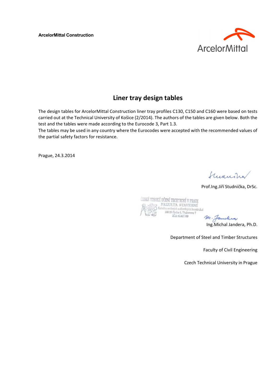**ArcelorMittal Construction** 



### **Liner tray design tables**

The design tables for ArcelorMittal Construction liner tray profiles C130, C150 and C160 were based on tests carried out at the Technical University of Košice (2/2014). The authors of the tables are given below. Both the test and the tables were made according to the Eurocode 3, Part 1.3.

The tables may be used in any country where the Eurocodes were accepted with the recommended values of the partial safety factors for resistance.

Prague, 24.3.2014

Summin

Prof.Ing.Jiří Studnička, DrSc.



Ing.Michal Jandera, Ph.D.

Department of Steel and Timber Structures

Faculty of Civil Engineering

Czech Technical University in Prague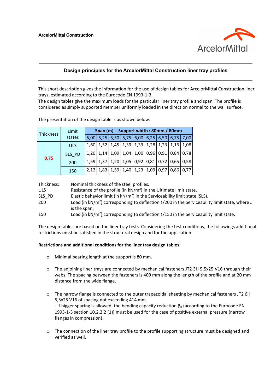

#### **Design principles for the ArcelorMittal Construction liner tray profiles**

This short description gives the information for the use of design tables for ArcelorMittal Construction liner trays, estimated according to the Eurocode EN 1993‐1‐3.

The design tables give the maximum loads for the particular liner tray profile and span. The profile is considered as simply supported member uniformly loaded in the direction normal to the wall surface.

| Thickness | Limit      | Span (m) - Support width: 80mm / 80mm |  |  |  |  |  |  |                                                                                |  |  |  |  |  |  |  |
|-----------|------------|---------------------------------------|--|--|--|--|--|--|--------------------------------------------------------------------------------|--|--|--|--|--|--|--|
|           | states     |                                       |  |  |  |  |  |  | 5,00   5,25   5,50   5,75   6,00   6,25   6,50   6,75   7,00                   |  |  |  |  |  |  |  |
|           | <b>ULS</b> |                                       |  |  |  |  |  |  | 1,60   1,52   1,45   1,39   1,33   1,28   1,23   1,16   1,08                   |  |  |  |  |  |  |  |
|           | SLS_PD     |                                       |  |  |  |  |  |  | $1,20$   $1,14$   $1,09$   $1,04$   $1,00$   $0,96$   $0,91$   $0,84$   $0,78$ |  |  |  |  |  |  |  |
| 0,75      | 200        |                                       |  |  |  |  |  |  | 1,59   1,37   1,20   1,05   0,92   0,81   0,72   0,65   0,58                   |  |  |  |  |  |  |  |
|           | 150        |                                       |  |  |  |  |  |  | 2,12 1,83 1,59 1,40 1,23 1,09 0,97 0,86 0,77                                   |  |  |  |  |  |  |  |

The presentation of the design table is as shown below:

| Thickness: | Nominal thickness of the steel profiles.                                                                           |
|------------|--------------------------------------------------------------------------------------------------------------------|
| <b>ULS</b> | Resistance of the profile (in $kN/m2$ ) in the Ultimate limit state.                                               |
| SLS PD     | Elastic behavior limit (in $kN/m^2$ ) in the Serviceability limit state (SLS).                                     |
| 200        | Load (in $kN/m^2$ ) corresponding to deflection $L/200$ in the Serviceability limit state, where L<br>is the span. |
| 150        | Load (in $kN/m2$ ) corresponding to deflection $L/150$ in the Serviceability limit state.                          |

The design tables are based on the liner tray tests. Considering the test conditions, the followings additional restrictions must be satisfied in the structural design and for the application.

#### **Restrictions and additional conditions for the liner tray design tables:**

- o Minimal bearing length at the support is 80 mm.
- o The adjoining liner trays are connected by mechanical fasteners JT2 3H 5,5x25 V16 through their webs. The spacing between the fasteners is 400 mm along the length of the profile and at 20 mm distance from the wide flange.
- o The narrow flange is connected to the outer trapezoidal sheeting by mechanical fasteners JT2 6H 5,5x25 V16 of spacing not exceeding 414 mm. - If bigger spacing is allowed, the bending capacity reduction  $\beta_b$  (according to the Eurocode EN 1993-1-3 section 10.2.2.2 (1)) must be used for the case of positive external pressure (narrow flanges in compression).
- $\circ$  The connection of the liner tray profile to the profile supporting structure must be designed and verified as well.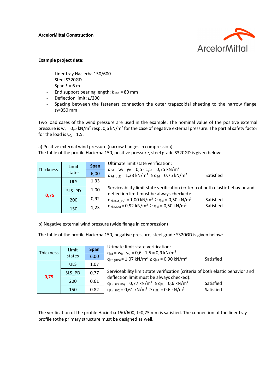

#### **Example project data:**

- Liner tray Hacierba 150/600
- Steel S320GD
- $-$  Span  $L = 6$  m
- End support bearing length:  $b_{End}$  = 80 mm
- Deflection limit: *L*/200
- Spacing between the fasteners connection the outer trapezoidal sheeting to the narrow flange *s1*=350 mm

Two load cases of the wind pressure are used in the example. The nominal value of the positive external pressure is  $w_k = 0.5$  kN/m<sup>2</sup> resp. 0,6 kN/m<sup>2</sup> for the case of negative external pressure. The partial safety factor for the load is  $\gamma_{\rm Q}$  = 1,5.

a) Positive external wind pressure (narrow flanges in compression) The table of the profile Hacierba 150, positive pressure, steel grade S320GD is given below:

| <b>Thickness</b> | Limit      | <b>Span</b> | Ultimate limit state verification:<br>$q_{Ed} = w_k$ . $\gamma_Q = 0.5 \cdot 1.5 = 0.75$ kN/m <sup>2</sup>                  |
|------------------|------------|-------------|-----------------------------------------------------------------------------------------------------------------------------|
|                  | states     | 6,00        | $q_{Rd (ULS)} = 1.33$ kN/m <sup>2</sup> $\ge$ q <sub>Ed</sub> = 0.75 kN/m <sup>2</sup><br>Satisfied                         |
| 0,75             | <b>ULS</b> | 1,33        |                                                                                                                             |
|                  | SLS PD     | 1,00        | Serviceability limit state verification (criteria of both elastic behavior and<br>deflection limit must be always checked): |
|                  | 200        | 0,92        | $q_{Rk(SLS PD)} = 1,00 \text{ kN/m}^2 \geq q_{Ek} = 0,50 \text{ kN/m}^2$<br>Satisfied                                       |
|                  | 150        | 1,23        | $q_{Rk(200)} = 0.92$ kN/m <sup>2</sup> $\ge$ q <sub>Ek</sub> = 0.50 kN/m <sup>2</sup><br>Satisfied                          |

b) Negative external wind pressure (wide flange in compression)

The table of the profile Hacierba 150, negative pressure, steel grade S320GD is given below:

| <b>Thickness</b> | Limit      | <b>Span</b> | Utimate limit state verification:<br>$q_{Ed} = w_k \cdot \gamma_Q = 0.6 \cdot 1.5 = 0.9 \text{ kN/m}^2$          |
|------------------|------------|-------------|------------------------------------------------------------------------------------------------------------------|
|                  | states     | 6,00        | $q_{Rd (ULS)} = 1.07$ kN/m <sup>2</sup> $\ge$ q <sub>Ed</sub> = 0.90 kN/m <sup>2</sup><br>Satisfied              |
| 0,75             | <b>ULS</b> | 1,07        |                                                                                                                  |
|                  | SLS PD     | 0,77        | Serviceability limit state verification (criteria of both elastic behavior and                                   |
|                  | 200        | 0,61        | deflection limit must be always checked):<br>$q_{Rk(SLS PD)} = 0.77 kN/m^2 \ge q_{Ek} = 0.6 kN/m^2$<br>Satisfied |
|                  | 150        | 0,82        | $q_{Rk(200)} = 0.61 \text{ kN/m}^2 \geq q_{Ek} = 0.6 \text{ kN/m}^2$<br>Satisfied                                |

The verification of the profile Hacierba 150/600, t=0,75 mm is satisfied. The connection of the liner tray profile tothe primary structure must be designed as well.